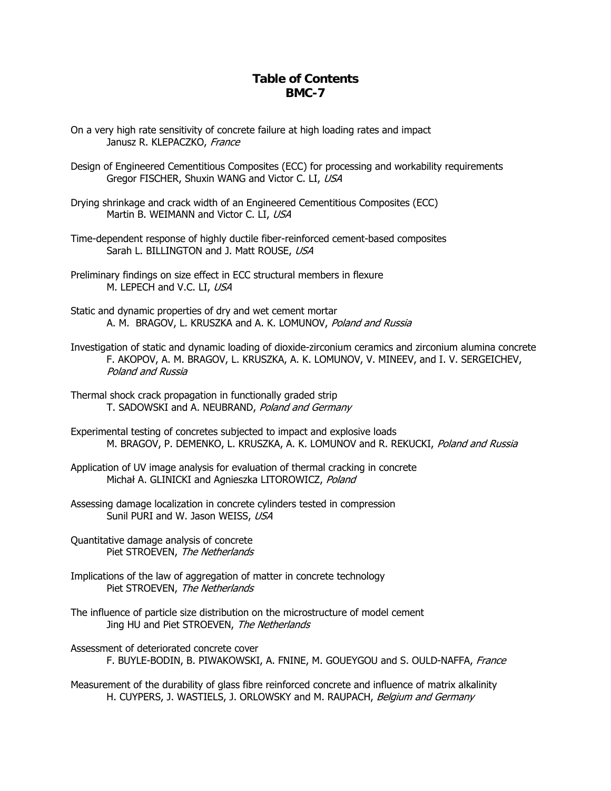## **Table of Contents BMC-7**

- On a very high rate sensitivity of concrete failure at high loading rates and impact Janusz R. KLEPACZKO, France
- Design of Engineered Cementitious Composites (ECC) for processing and workability requirements Gregor FISCHER, Shuxin WANG and Victor C. LI, USA
- Drying shrinkage and crack width of an Engineered Cementitious Composites (ECC) Martin B. WEIMANN and Victor C. LI, USA
- Time-dependent response of highly ductile fiber-reinforced cement-based composites Sarah L. BILLINGTON and J. Matt ROUSE, USA
- Preliminary findings on size effect in ECC structural members in flexure M. LEPECH and V.C. LI, USA
- Static and dynamic properties of dry and wet cement mortar A. M. BRAGOV, L. KRUSZKA and A. K. LOMUNOV, Poland and Russia
- Investigation of static and dynamic loading of dioxide-zirconium ceramics and zirconium alumina concrete F. AKOPOV, A. M. BRAGOV, L. KRUSZKA, A. K. LOMUNOV, V. MINEEV, and I. V. SERGEICHEV, Poland and Russia
- Thermal shock crack propagation in functionally graded strip T. SADOWSKI and A. NEUBRAND, Poland and Germany
- Experimental testing of concretes subjected to impact and explosive loads M. BRAGOV, P. DEMENKO, L. KRUSZKA, A. K. LOMUNOV and R. REKUCKI, Poland and Russia
- Application of UV image analysis for evaluation of thermal cracking in concrete Michał A. GLINICKI and Agnieszka LITOROWICZ, Poland
- Assessing damage localization in concrete cylinders tested in compression Sunil PURI and W. Jason WEISS, USA
- Quantitative damage analysis of concrete Piet STROEVEN, The Netherlands
- Piet STROEVEN, *The Netherlands* Implications of the law of aggregation of matter in concrete technology
- Jing HU and Piet STROEVEN, The Netherlands The influence of particle size distribution on the microstructure of model cement
- Assessment of deteriorated concrete cover F. BUYLE-BODIN, B. PIWAKOWSKI, A. FNINE, M. GOUEYGOU and S. OULD-NAFFA, France

Measurement of the durability of glass fibre reinforced concrete and influence of matrix alkalinity H. CUYPERS, J. WASTIELS, J. ORLOWSKY and M. RAUPACH, Belgium and Germany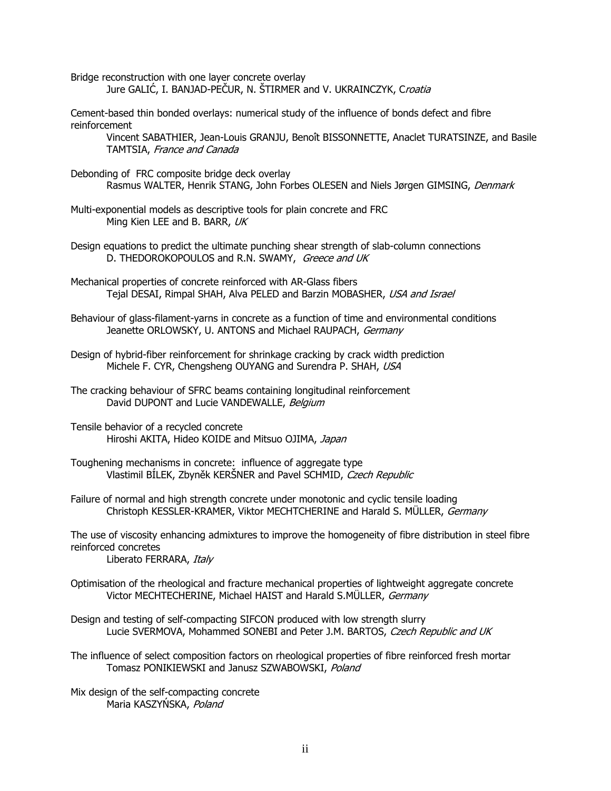Bridge reconstruction with one layer concrete overlay Jure GALIĆ, I. BANJAD-PEČUR, N. ŠTIRMER and V. UKRAINCZYK, Croatia

Cement-based thin bonded overlays: numerical study of the influence of bonds defect and fibre reinforcement

Vincent SABATHIER, Jean-Louis GRANJU, Benoît BISSONNETTE, Anaclet TURATSINZE, and Basile TAMTSIA, France and Canada

- Debonding of FRC composite bridge deck overlay Rasmus WALTER, Henrik STANG, John Forbes OLESEN and Niels Jørgen GIMSING, Denmark
- Multi-exponential models as descriptive tools for plain concrete and FRC Ming Kien LEE and B. BARR, UK
- Design equations to predict the ultimate punching shear strength of slab-column connections D. THEDOROKOPOULOS and R.N. SWAMY, Greece and UK
- Mechanical properties of concrete reinforced with AR-Glass fibers Tejal DESAI, Rimpal SHAH, Alva PELED and Barzin MOBASHER, USA and Israel
- Behaviour of glass-filament-yarns in concrete as a function of time and environmental conditions Jeanette ORLOWSKY, U. ANTONS and Michael RAUPACH, Germany
- Design of hybrid-fiber reinforcement for shrinkage cracking by crack width prediction Michele F. CYR, Chengsheng OUYANG and Surendra P. SHAH, USA
- The cracking behaviour of SFRC beams containing longitudinal reinforcement David DUPONT and Lucie VANDEWALLE, Belgium
- Tensile behavior of a recycled concrete Hiroshi AKITA, Hideo KOIDE and Mitsuo OJIMA, Japan
- Toughening mechanisms in concrete: influence of aggregate type Vlastimil BÍLEK, Zbyněk KERŠNER and Pavel SCHMID, Czech Republic
- Failure of normal and high strength concrete under monotonic and cyclic tensile loading Christoph KESSLER-KRAMER, Viktor MECHTCHERINE and Harald S. MÜLLER, Germany

The use of viscosity enhancing admixtures to improve the homogeneity of fibre distribution in steel fibre reinforced concretes

Liberato FERRARA, Italy

- Optimisation of the rheological and fracture mechanical properties of lightweight aggregate concrete Victor MECHTECHERINE, Michael HAIST and Harald S.MÜLLER, Germany
- Design and testing of self-compacting SIFCON produced with low strength slurry Lucie SVERMOVA, Mohammed SONEBI and Peter J.M. BARTOS, Czech Republic and UK
- The influence of select composition factors on rheological properties of fibre reinforced fresh mortar Tomasz PONIKIEWSKI and Janusz SZWABOWSKI, Poland
- Mix design of the self-compacting concrete Maria KASZYŃSKA, Poland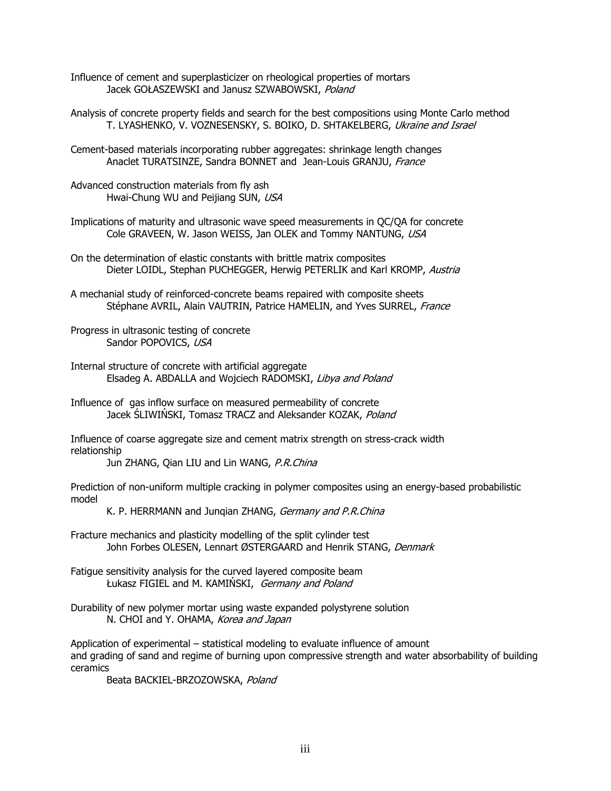Influence of cement and superplasticizer on rheological properties of mortars Jacek GOŁASZEWSKI and Janusz SZWABOWSKI, Poland

Analysis of concrete property fields and search for the best compositions using Monte Carlo method T. LYASHENKO, V. VOZNESENSKY, S. BOIKO, D. SHTAKELBERG, Ukraine and Israel

Cement-based materials incorporating rubber aggregates: shrinkage length changes Anaclet TURATSINZE, Sandra BONNET and Jean-Louis GRANJU, France

Advanced construction materials from fly ash Hwai-Chung WU and Peijiang SUN, USA

Implications of maturity and ultrasonic wave speed measurements in QC/QA for concrete Cole GRAVEEN, W. Jason WEISS, Jan OLEK and Tommy NANTUNG, USA

On the determination of elastic constants with brittle matrix composites Dieter LOIDL, Stephan PUCHEGGER, Herwig PETERLIK and Karl KROMP, Austria

A mechanial study of reinforced-concrete beams repaired with composite sheets Stéphane AVRIL, Alain VAUTRIN, Patrice HAMELIN, and Yves SURREL, France

Progress in ultrasonic testing of concrete Sandor POPOVICS, USA

Internal structure of concrete with artificial aggregate Elsadeg A. ABDALLA and Wojciech RADOMSKI, Libya and Poland

Influence of gas inflow surface on measured permeability of concrete Jacek SLIWIŃSKI, Tomasz TRACZ and Aleksander KOZAK, Poland

Influence of coarse aggregate size and cement matrix strength on stress-crack width relationship

Jun ZHANG, Qian LIU and Lin WANG, P.R.China

Prediction of non-uniform multiple cracking in polymer composites using an energy-based probabilistic model

K. P. HERRMANN and Jungian ZHANG, Germany and P.R.China

Fracture mechanics and plasticity modelling of the split cylinder test John Forbes OLESEN, Lennart ØSTERGAARD and Henrik STANG, Denmark

Fatigue sensitivity analysis for the curved layered composite beam Łukasz FIGIEL and M. KAMIŃSKI, Germany and Poland

Durability of new polymer mortar using waste expanded polystyrene solution N. CHOI and Y. OHAMA, Korea and Japan

Application of experimental – statistical modeling to evaluate influence of amount and grading of sand and regime of burning upon compressive strength and water absorbability of building ceramics

Beata BACKIEL-BRZOZOWSKA, Poland